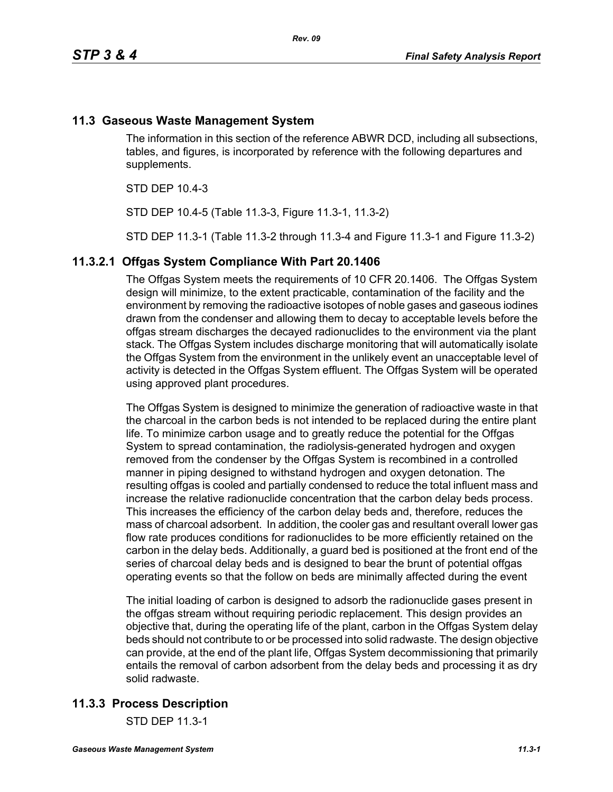## **11.3 Gaseous Waste Management System**

The information in this section of the reference ABWR DCD, including all subsections, tables, and figures, is incorporated by reference with the following departures and supplements.

STD DEP 10.4-3

STD DEP 10.4-5 (Table 11.3-3, Figure 11.3-1, 11.3-2)

STD DEP 11.3-1 (Table 11.3-2 through 11.3-4 and Figure 11.3-1 and Figure 11.3-2)

#### **11.3.2.1 Offgas System Compliance With Part 20.1406**

The Offgas System meets the requirements of 10 CFR 20.1406. The Offgas System design will minimize, to the extent practicable, contamination of the facility and the environment by removing the radioactive isotopes of noble gases and gaseous iodines drawn from the condenser and allowing them to decay to acceptable levels before the offgas stream discharges the decayed radionuclides to the environment via the plant stack. The Offgas System includes discharge monitoring that will automatically isolate the Offgas System from the environment in the unlikely event an unacceptable level of activity is detected in the Offgas System effluent. The Offgas System will be operated using approved plant procedures.

The Offgas System is designed to minimize the generation of radioactive waste in that the charcoal in the carbon beds is not intended to be replaced during the entire plant life. To minimize carbon usage and to greatly reduce the potential for the Offgas System to spread contamination, the radiolysis-generated hydrogen and oxygen removed from the condenser by the Offgas System is recombined in a controlled manner in piping designed to withstand hydrogen and oxygen detonation. The resulting offgas is cooled and partially condensed to reduce the total influent mass and increase the relative radionuclide concentration that the carbon delay beds process. This increases the efficiency of the carbon delay beds and, therefore, reduces the mass of charcoal adsorbent. In addition, the cooler gas and resultant overall lower gas flow rate produces conditions for radionuclides to be more efficiently retained on the carbon in the delay beds. Additionally, a guard bed is positioned at the front end of the series of charcoal delay beds and is designed to bear the brunt of potential offgas operating events so that the follow on beds are minimally affected during the event

The initial loading of carbon is designed to adsorb the radionuclide gases present in the offgas stream without requiring periodic replacement. This design provides an objective that, during the operating life of the plant, carbon in the Offgas System delay beds should not contribute to or be processed into solid radwaste. The design objective can provide, at the end of the plant life, Offgas System decommissioning that primarily entails the removal of carbon adsorbent from the delay beds and processing it as dry solid radwaste.

## **11.3.3 Process Description**

STD DEP 11.3-1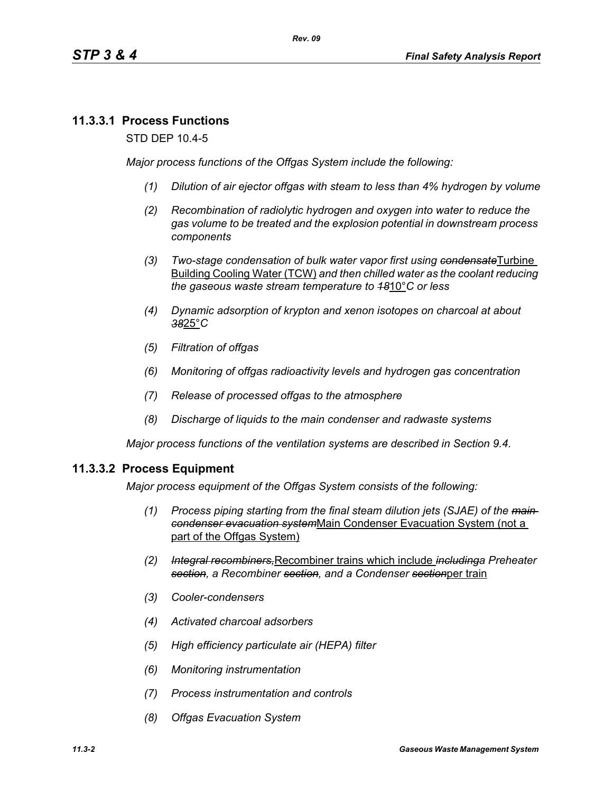## **11.3.3.1 Process Functions**

STD DEP 10.4-5

*Major process functions of the Offgas System include the following:*

- *(1) Dilution of air ejector offgas with steam to less than 4% hydrogen by volume*
- *(2) Recombination of radiolytic hydrogen and oxygen into water to reduce the gas volume to be treated and the explosion potential in downstream process components*
- *(3) Two-stage condensation of bulk water vapor first using condensate*Turbine Building Cooling Water (TCW) *and then chilled water as the coolant reducing the gaseous waste stream temperature to 18*10°*C or less*
- *(4) Dynamic adsorption of krypton and xenon isotopes on charcoal at about 38*25°*C*
- *(5) Filtration of offgas*
- *(6) Monitoring of offgas radioactivity levels and hydrogen gas concentration*
- *(7) Release of processed offgas to the atmosphere*
- *(8) Discharge of liquids to the main condenser and radwaste systems*

*Major process functions of the ventilation systems are described in Section 9.4.*

#### **11.3.3.2 Process Equipment**

*Major process equipment of the Offgas System consists of the following:*

- *(1) Process piping starting from the final steam dilution jets (SJAE) of the main condenser evacuation system*Main Condenser Evacuation System (not a part of the Offgas System)
- *(2) Integral recombiners,*Recombiner trains which include *includinga Preheater section, a Recombiner section, and a Condenser section*per train
- *(3) Cooler-condensers*
- *(4) Activated charcoal adsorbers*
- *(5) High efficiency particulate air (HEPA) filter*
- *(6) Monitoring instrumentation*
- *(7) Process instrumentation and controls*
- *(8) Offgas Evacuation System*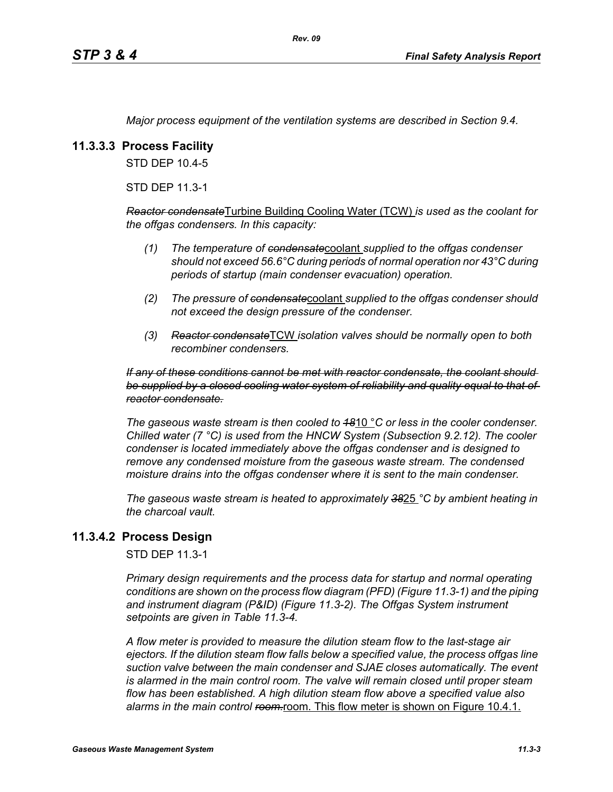*Major process equipment of the ventilation systems are described in Section 9.4.*

## **11.3.3.3 Process Facility**

STD DEP 10.4-5

STD DEP 11.3-1

*Reactor condensate*Turbine Building Cooling Water (TCW) *is used as the coolant for the offgas condensers. In this capacity:*

- *(1) The temperature of condensate*coolant *supplied to the offgas condenser should not exceed 56.6°C during periods of normal operation nor 43°C during periods of startup (main condenser evacuation) operation.*
- *(2) The pressure of condensate*coolant *supplied to the offgas condenser should not exceed the design pressure of the condenser.*
- *(3) Reactor condensate*TCW *isolation valves should be normally open to both recombiner condensers.*

#### *If any of these conditions cannot be met with reactor condensate, the coolant should be supplied by a closed cooling water system of reliability and quality equal to that of reactor condensate.*

*The gaseous waste stream is then cooled to 18*10 °*C or less in the cooler condenser. Chilled water (7 °C) is used from the HNCW System (Subsection 9.2.12). The cooler condenser is located immediately above the offgas condenser and is designed to remove any condensed moisture from the gaseous waste stream. The condensed moisture drains into the offgas condenser where it is sent to the main condenser.*

*The gaseous waste stream is heated to approximately 38*25 *°C by ambient heating in the charcoal vault.*

## **11.3.4.2 Process Design**

STD DEP 11.3-1

*Primary design requirements and the process data for startup and normal operating conditions are shown on the process flow diagram (PFD) (Figure 11.3-1) and the piping and instrument diagram (P&ID) (Figure 11.3-2). The Offgas System instrument setpoints are given in Table 11.3-4.*

*A flow meter is provided to measure the dilution steam flow to the last-stage air ejectors. If the dilution steam flow falls below a specified value, the process offgas line suction valve between the main condenser and SJAE closes automatically. The event*  is alarmed in the main control room. The valve will remain closed until proper steam *flow has been established. A high dilution steam flow above a specified value also*  alarms in the main control ream-room. This flow meter is shown on Figure 10.4.1.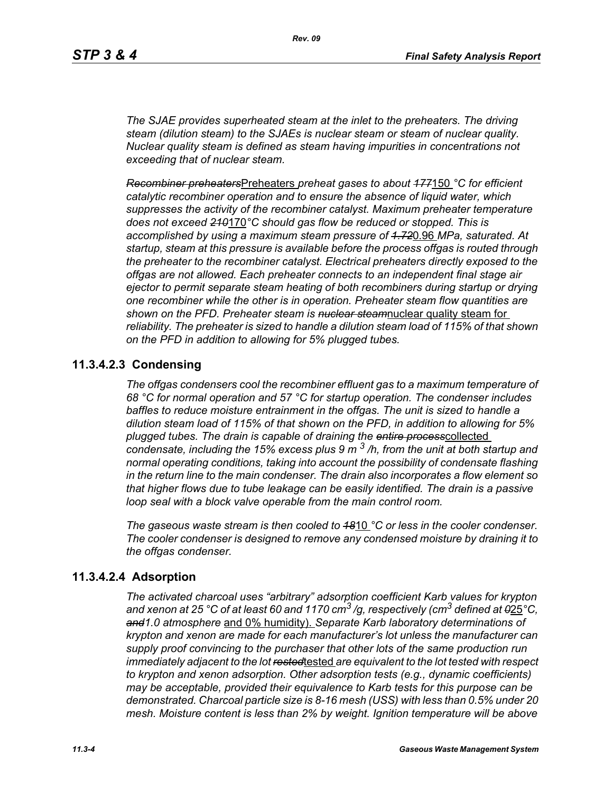*The SJAE provides superheated steam at the inlet to the preheaters. The driving steam (dilution steam) to the SJAEs is nuclear steam or steam of nuclear quality. Nuclear quality steam is defined as steam having impurities in concentrations not exceeding that of nuclear steam.*

*Recombiner preheaters*Preheaters *preheat gases to about 177*150 *°C for efficient catalytic recombiner operation and to ensure the absence of liquid water, which suppresses the activity of the recombiner catalyst. Maximum preheater temperature does not exceed 210*170*°C should gas flow be reduced or stopped. This is accomplished by using a maximum steam pressure of 1.72*0.96 *MPa, saturated. At startup, steam at this pressure is available before the process offgas is routed through the preheater to the recombiner catalyst. Electrical preheaters directly exposed to the offgas are not allowed. Each preheater connects to an independent final stage air ejector to permit separate steam heating of both recombiners during startup or drying one recombiner while the other is in operation. Preheater steam flow quantities are shown on the PFD. Preheater steam is nuclear steam*nuclear quality steam for *reliability. The preheater is sized to handle a dilution steam load of 115% of that shown on the PFD in addition to allowing for 5% plugged tubes.*

## **11.3.4.2.3 Condensing**

*The offgas condensers cool the recombiner effluent gas to a maximum temperature of 68 °C for normal operation and 57 °C for startup operation. The condenser includes baffles to reduce moisture entrainment in the offgas. The unit is sized to handle a dilution steam load of 115% of that shown on the PFD, in addition to allowing for 5% plugged tubes. The drain is capable of draining the entire process*collected *condensate, including the 15% excess plus 9 m 3 /h, from the unit at both startup and normal operating conditions, taking into account the possibility of condensate flashing in the return line to the main condenser. The drain also incorporates a flow element so that higher flows due to tube leakage can be easily identified. The drain is a passive loop seal with a block valve operable from the main control room.* 

*The gaseous waste stream is then cooled to 18*10 *°C or less in the cooler condenser. The cooler condenser is designed to remove any condensed moisture by draining it to the offgas condenser.*

## **11.3.4.2.4 Adsorption**

*The activated charcoal uses "arbitrary" adsorption coefficient Karb values for krypton and xenon at 25 °C of at least 60 and 1170 cm3 /g, respectively (cm3 defined at 0*25*°C, and1.0 atmosphere* and 0% humidity). *Separate Karb laboratory determinations of krypton and xenon are made for each manufacturer's lot unless the manufacturer can supply proof convincing to the purchaser that other lots of the same production run immediately adjacent to the lot rested*tested *are equivalent to the lot tested with respect to krypton and xenon adsorption. Other adsorption tests (e.g., dynamic coefficients) may be acceptable, provided their equivalence to Karb tests for this purpose can be demonstrated. Charcoal particle size is 8-16 mesh (USS) with less than 0.5% under 20 mesh. Moisture content is less than 2% by weight. Ignition temperature will be above*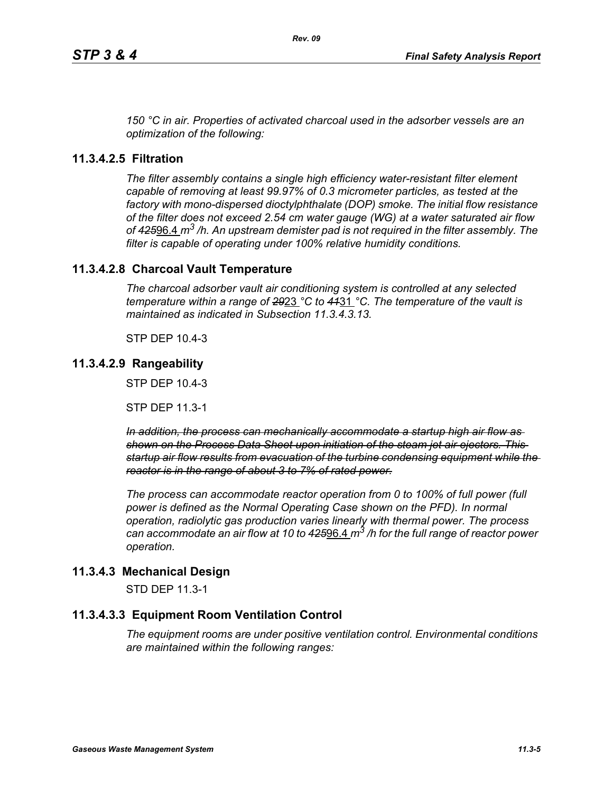*150 °C in air. Properties of activated charcoal used in the adsorber vessels are an optimization of the following:*

## **11.3.4.2.5 Filtration**

*The filter assembly contains a single high efficiency water-resistant filter element capable of removing at least 99.97% of 0.3 micrometer particles, as tested at the factory with mono-dispersed dioctylphthalate (DOP) smoke. The initial flow resistance of the filter does not exceed 2.54 cm water gauge (WG) at a water saturated air flow of 425*96.4 *m3 /h. An upstream demister pad is not required in the filter assembly. The filter is capable of operating under 100% relative humidity conditions.*

## **11.3.4.2.8 Charcoal Vault Temperature**

*The charcoal adsorber vault air conditioning system is controlled at any selected temperature within a range of 29*23 *°C to 41*31 *°C. The temperature of the vault is maintained as indicated in Subsection 11.3.4.3.13.*

STP DEP 10.4-3

#### **11.3.4.2.9 Rangeability**

STP DEP 10.4-3

STP DEP 11.3-1

*In addition, the process can mechanically accommodate a startup high air flow as shown on the Process Data Sheet upon initiation of the steam jet air ejectors. This startup air flow results from evacuation of the turbine condensing equipment while the reactor is in the range of about 3 to 7% of rated power.*

*The process can accommodate reactor operation from 0 to 100% of full power (full power is defined as the Normal Operating Case shown on the PFD). In normal operation, radiolytic gas production varies linearly with thermal power. The process can accommodate an air flow at 10 to 425*96.4 *m3 /h for the full range of reactor power operation.*

## **11.3.4.3 Mechanical Design**

STD DEP 11.3-1

## **11.3.4.3.3 Equipment Room Ventilation Control**

*The equipment rooms are under positive ventilation control. Environmental conditions are maintained within the following ranges:*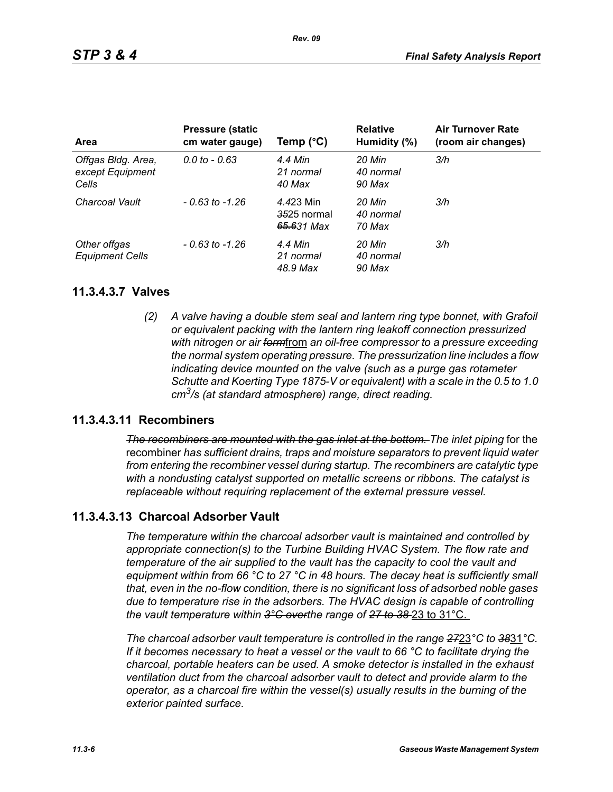| Area                                            | <b>Pressure (static)</b><br>cm water gauge) | Temp $(^{\circ}C)$                     | <b>Relative</b><br>Humidity (%) | <b>Air Turnover Rate</b><br>(room air changes) |
|-------------------------------------------------|---------------------------------------------|----------------------------------------|---------------------------------|------------------------------------------------|
| Offgas Bldg. Area,<br>except Equipment<br>Cells | $0.0 \text{ to } -0.63$                     | 4.4 Min<br>21 normal<br>40 Max         | 20 Min<br>40 normal<br>90 Max   | 3/h                                            |
| Charcoal Vault                                  | $-0.63$ to $-1.26$                          | 4.423 Min<br>3525 normal<br>65.631 Max | 20 Min<br>40 normal<br>70 Max   | 3/h                                            |
| Other offgas<br><b>Equipment Cells</b>          | $-0.63$ to $-1.26$                          | 4.4 Min<br>21 normal<br>48.9 Max       | 20 Min<br>40 normal<br>90 Max   | 3/h                                            |

#### **11.3.4.3.7 Valves**

*(2) A valve having a double stem seal and lantern ring type bonnet, with Grafoil or equivalent packing with the lantern ring leakoff connection pressurized with nitrogen or air form*from *an oil-free compressor to a pressure exceeding the normal system operating pressure. The pressurization line includes a flow indicating device mounted on the valve (such as a purge gas rotameter Schutte and Koerting Type 1875-V or equivalent) with a scale in the 0.5 to 1.0 cm3/s (at standard atmosphere) range, direct reading.*

## **11.3.4.3.11 Recombiners**

*The recombiners are mounted with the gas inlet at the bottom. The inlet piping for the* recombiner *has sufficient drains, traps and moisture separators to prevent liquid water from entering the recombiner vessel during startup. The recombiners are catalytic type with a nondusting catalyst supported on metallic screens or ribbons. The catalyst is replaceable without requiring replacement of the external pressure vessel.*

## **11.3.4.3.13 Charcoal Adsorber Vault**

*The temperature within the charcoal adsorber vault is maintained and controlled by appropriate connection(s) to the Turbine Building HVAC System. The flow rate and temperature of the air supplied to the vault has the capacity to cool the vault and equipment within from 66 °C to 27 °C in 48 hours. The decay heat is sufficiently small that, even in the no-flow condition, there is no significant loss of adsorbed noble gases due to temperature rise in the adsorbers. The HVAC design is capable of controlling the vault temperature within 3°C overthe range of 27 to 38* 23 to 31°C.

*The charcoal adsorber vault temperature is controlled in the range 27*23*°C to 38*31*°C. If it becomes necessary to heat a vessel or the vault to 66 °C to facilitate drying the charcoal, portable heaters can be used. A smoke detector is installed in the exhaust ventilation duct from the charcoal adsorber vault to detect and provide alarm to the operator, as a charcoal fire within the vessel(s) usually results in the burning of the exterior painted surface.*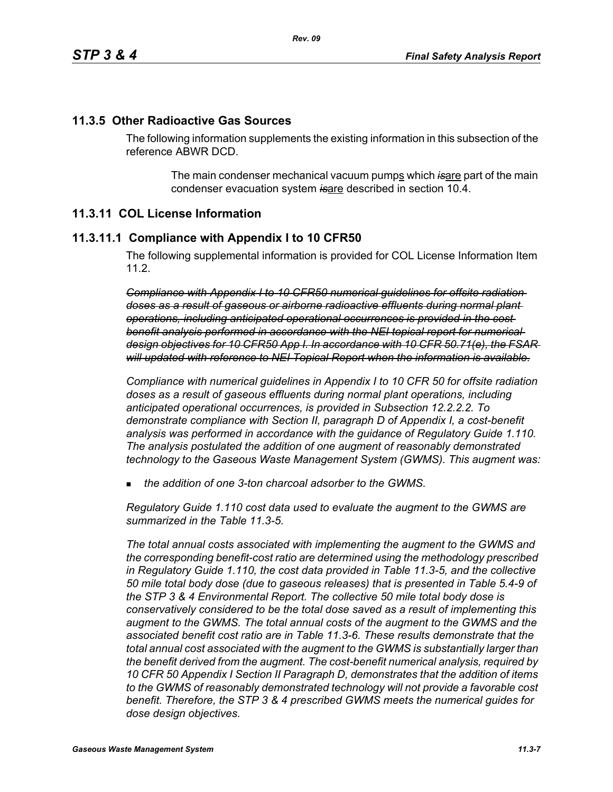#### **11.3.5 Other Radioactive Gas Sources**

The following information supplements the existing information in this subsection of the reference ABWR DCD.

> The main condenser mechanical vacuum pumps which is are part of the main condenser evacuation system *is*are described in section 10.4.

#### **11.3.11 COL License Information**

#### **11.3.11.1 Compliance with Appendix I to 10 CFR50**

The following supplemental information is provided for COL License Information Item 11.2.

*Compliance with Appendix I to 10 CFR50 numerical guidelines for offsite radiation doses as a result of gaseous or airborne radioactive effluents during normal plant operations, including anticipated operational occurrences is provided in the cost benefit analysis performed in accordance with the NEI topical report for numerical design objectives for 10 CFR50 App I. In accordance with 10 CFR 50.71(e), the FSAR will updated with reference to NEI Topical Report when the information is available.*

*Compliance with numerical guidelines in Appendix I to 10 CFR 50 for offsite radiation doses as a result of gaseous effluents during normal plant operations, including anticipated operational occurrences, is provided in Subsection 12.2.2.2. To demonstrate compliance with Section II, paragraph D of Appendix I, a cost-benefit analysis was performed in accordance with the guidance of Regulatory Guide 1.110. The analysis postulated the addition of one augment of reasonably demonstrated technology to the Gaseous Waste Management System (GWMS). This augment was:*

*the addition of one 3-ton charcoal adsorber to the GWMS.*

*Regulatory Guide 1.110 cost data used to evaluate the augment to the GWMS are summarized in the Table 11.3-5.* 

*The total annual costs associated with implementing the augment to the GWMS and the corresponding benefit-cost ratio are determined using the methodology prescribed in Regulatory Guide 1.110, the cost data provided in Table 11.3-5, and the collective 50 mile total body dose (due to gaseous releases) that is presented in Table 5.4-9 of the STP 3 & 4 Environmental Report. The collective 50 mile total body dose is conservatively considered to be the total dose saved as a result of implementing this augment to the GWMS. The total annual costs of the augment to the GWMS and the associated benefit cost ratio are in Table 11.3-6. These results demonstrate that the total annual cost associated with the augment to the GWMS is substantially larger than the benefit derived from the augment. The cost-benefit numerical analysis, required by 10 CFR 50 Appendix I Section II Paragraph D, demonstrates that the addition of items to the GWMS of reasonably demonstrated technology will not provide a favorable cost benefit. Therefore, the STP 3 & 4 prescribed GWMS meets the numerical guides for dose design objectives.*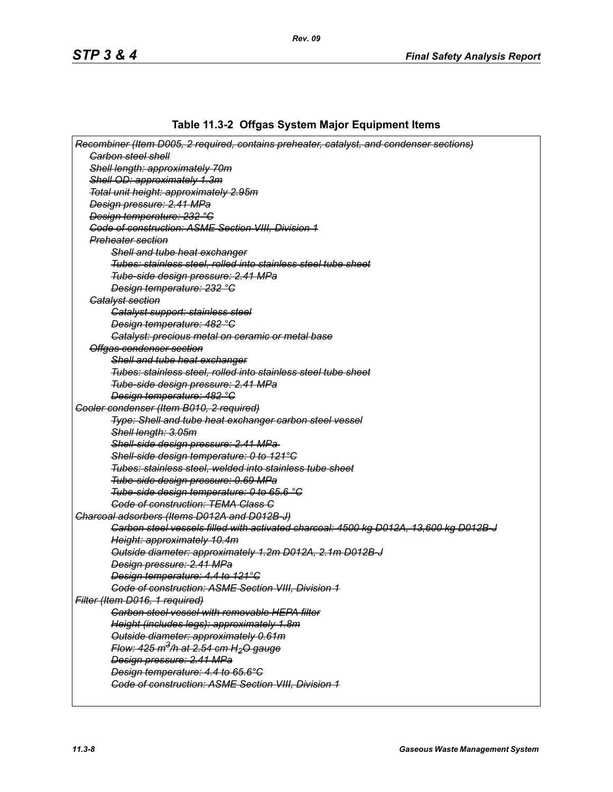# **Table 11.3-2 Offgas System Major Equipment Items**

| Recombiner (Item D005, 2 required, contains preheater, catalyst, and condenser sections) |
|------------------------------------------------------------------------------------------|
| <b>Garbon steel shell</b>                                                                |
| Shell length: approximately 70m                                                          |
| Shell OD: approximately 1.3m                                                             |
| Total unit height: approximately 2.95m                                                   |
| Design pressure: 2.41 MPa                                                                |
| Design temperature: 232 °C                                                               |
| Code of construction: ASME Section VIII, Division 1                                      |
| <del>Preheater section</del>                                                             |
| Shell and tube heat exchanger                                                            |
| Tubes: stainless steel, rolled into stainless steel tube sheet                           |
| Tube-side design pressure: 2.41 MPa                                                      |
| Design temperature: 232 °C                                                               |
| <b>Gatalyst section</b>                                                                  |
| Catalyst support: stainless steel                                                        |
| Design temperature: 482 °C                                                               |
| Catalyst: precious metal on ceramic or metal base                                        |
| Offgas condenser section                                                                 |
| Shell and tube heat exchanger                                                            |
| Tubes: stainless steel, rolled into stainless steel tube sheet                           |
| Tube-side design pressure: 2.41 MPa                                                      |
| Design temperature: 482 °C                                                               |
| Cooler condenser (Item B010, 2 required)                                                 |
| Type: Shell and tube heat exchanger carbon steel vessel                                  |
| Shell length: 3.05m                                                                      |
| Shell-side design pressure: 2.41 MPa-                                                    |
| Shell-side design temperature: 0 to 121°C                                                |
| Tubes: stainless steel, welded into stainless tube sheet                                 |
| Tube-side design pressure: 0.69 MPa                                                      |
| Tube-side design temperature: 0 to 65.6 °C                                               |
| <b>Code of construction: TEMA Class C</b>                                                |
| Charcoal adsorbers (Items D012A and D012B-J)                                             |
| Carbon steel vessels filled with activated charcoal: 4500 kg D012A, 13,600 kg D012B-J    |
| Height: approximately 10.4m                                                              |
| Outside diameter: approximately 1.2m D012A, 2.1m D012B-J                                 |
| Design pressure: 2.41 MPa                                                                |
| Design temperature: 4.4 to 121°C                                                         |
| <b>Code of construction: ASME Section VIII, Division 1</b>                               |
| Filter (Item D016, 1 required)                                                           |
| <b>Carbon steel vessel with removable HEPA filter</b>                                    |
| Height (includes legs): approximately 1.8m                                               |
| Outside diameter: approximately 0.61m                                                    |
| Flow: $425 \text{ m}^3$ /h at $2.54 \text{ cm}$ H <sub>2</sub> O gauge                   |
| Design pressure: 2.41 MPa                                                                |
| Design temperature: 4.4 to 65.6°C                                                        |
| <b>Code of construction: ASME Section VIII, Division 1</b>                               |
|                                                                                          |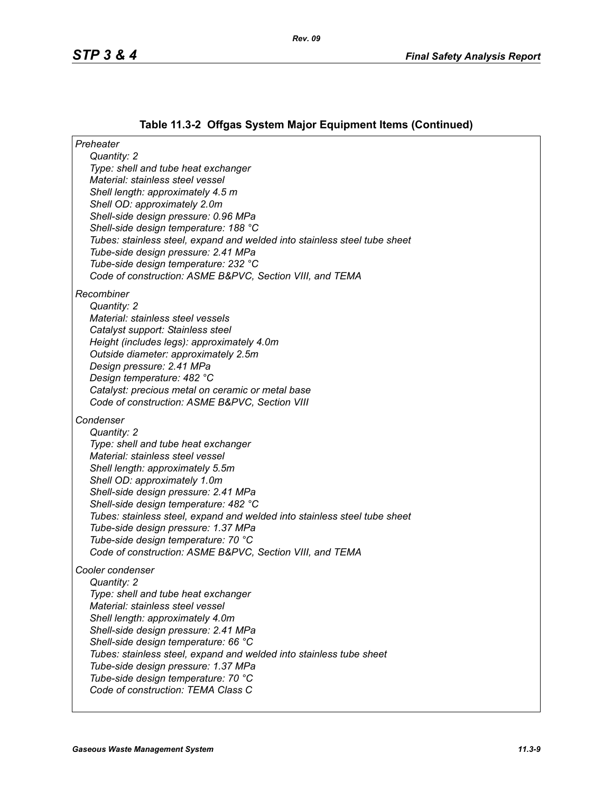# **Table 11.3-2 Offgas System Major Equipment Items (Continued)**

| Preheater                                                                                                        |  |
|------------------------------------------------------------------------------------------------------------------|--|
| Quantity: 2                                                                                                      |  |
| Type: shell and tube heat exchanger                                                                              |  |
| Material: stainless steel vessel                                                                                 |  |
| Shell length: approximately 4.5 m                                                                                |  |
| Shell OD: approximately 2.0m                                                                                     |  |
| Shell-side design pressure: 0.96 MPa                                                                             |  |
| Shell-side design temperature: 188 °C                                                                            |  |
| Tubes: stainless steel, expand and welded into stainless steel tube sheet                                        |  |
| Tube-side design pressure: 2.41 MPa                                                                              |  |
| Tube-side design temperature: 232 °C<br>Code of construction: ASME B&PVC, Section VIII, and TEMA                 |  |
|                                                                                                                  |  |
| Recombiner                                                                                                       |  |
| Quantity: 2                                                                                                      |  |
| Material: stainless steel vessels                                                                                |  |
| Catalyst support: Stainless steel                                                                                |  |
| Height (includes legs): approximately 4.0m                                                                       |  |
| Outside diameter: approximately 2.5m                                                                             |  |
| Design pressure: 2.41 MPa                                                                                        |  |
| Design temperature: 482 °C                                                                                       |  |
| Catalyst: precious metal on ceramic or metal base                                                                |  |
| Code of construction: ASME B&PVC, Section VIII                                                                   |  |
| Condenser                                                                                                        |  |
| Quantity: 2                                                                                                      |  |
| Type: shell and tube heat exchanger                                                                              |  |
| Material: stainless steel vessel                                                                                 |  |
| Shell length: approximately 5.5m                                                                                 |  |
| Shell OD: approximately 1.0m                                                                                     |  |
| Shell-side design pressure: 2.41 MPa                                                                             |  |
| Shell-side design temperature: 482 °C                                                                            |  |
| Tubes: stainless steel, expand and welded into stainless steel tube sheet<br>Tube-side design pressure: 1.37 MPa |  |
| Tube-side design temperature: 70 °C                                                                              |  |
| Code of construction: ASME B&PVC, Section VIII, and TEMA                                                         |  |
|                                                                                                                  |  |
| Cooler condenser                                                                                                 |  |
| Quantity: 2                                                                                                      |  |
| Type: shell and tube heat exchanger                                                                              |  |
| Material: stainless steel vessel                                                                                 |  |
| Shell length: approximately 4.0m<br>Shell-side design pressure: 2.41 MPa                                         |  |
| Shell-side design temperature: 66 °C                                                                             |  |
| Tubes: stainless steel, expand and welded into stainless tube sheet                                              |  |
| Tube-side design pressure: 1.37 MPa                                                                              |  |
| Tube-side design temperature: 70 °C                                                                              |  |
| Code of construction: TEMA Class C                                                                               |  |
|                                                                                                                  |  |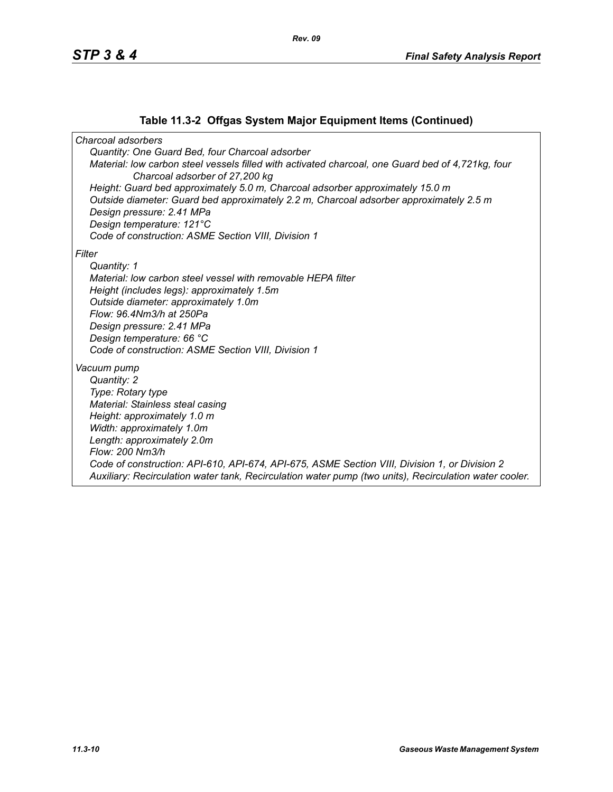#### **Table 11.3-2 Offgas System Major Equipment Items (Continued)**

*Charcoal adsorbers Quantity: One Guard Bed, four Charcoal adsorber Material: low carbon steel vessels filled with activated charcoal, one Guard bed of 4,721kg, four Charcoal adsorber of 27,200 kg Height: Guard bed approximately 5.0 m, Charcoal adsorber approximately 15.0 m Outside diameter: Guard bed approximately 2.2 m, Charcoal adsorber approximately 2.5 m Design pressure: 2.41 MPa Design temperature: 121°C Code of construction: ASME Section VIII, Division 1 Filter Quantity: 1 Material: low carbon steel vessel with removable HEPA filter Height (includes legs): approximately 1.5m Outside diameter: approximately 1.0m Flow: 96.4Nm3/h at 250Pa Design pressure: 2.41 MPa Design temperature: 66 °C Code of construction: ASME Section VIII, Division 1 Vacuum pump Quantity: 2 Type: Rotary type Material: Stainless steal casing Height: approximately 1.0 m Width: approximately 1.0m Length: approximately 2.0m Flow: 200 Nm3/h Code of construction: API-610, API-674, API-675, ASME Section VIII, Division 1, or Division 2 Auxiliary: Recirculation water tank, Recirculation water pump (two units), Recirculation water cooler.*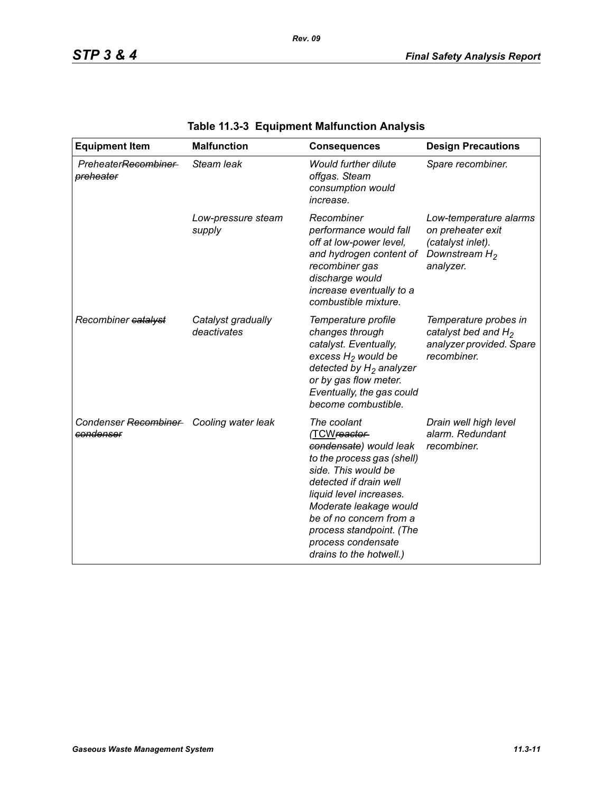| <b>Equipment Item</b>                                | <b>Malfunction</b>                | <b>Consequences</b>                                                                                                                                                                                                                                                                               | <b>Design Precautions</b>                                                                         |
|------------------------------------------------------|-----------------------------------|---------------------------------------------------------------------------------------------------------------------------------------------------------------------------------------------------------------------------------------------------------------------------------------------------|---------------------------------------------------------------------------------------------------|
| PreheaterRecombiner<br>preheater                     | Steam leak                        | <b>Would further dilute</b><br>offgas. Steam<br>consumption would<br>increase.                                                                                                                                                                                                                    | Spare recombiner.                                                                                 |
|                                                      | Low-pressure steam<br>supply      | Recombiner<br>performance would fall<br>off at low-power level,<br>and hydrogen content of<br>recombiner gas<br>discharge would<br>increase eventually to a<br>combustible mixture.                                                                                                               | Low-temperature alarms<br>on preheater exit<br>(catalyst inlet).<br>Downstream $H_2$<br>analyzer. |
| Recombiner catalyst                                  | Catalyst gradually<br>deactivates | Temperature profile<br>changes through<br>catalyst. Eventually,<br>excess $H_2$ would be<br>detected by $H_2$ analyzer<br>or by gas flow meter.<br>Eventually, the gas could<br>become combustible.                                                                                               | Temperature probes in<br>catalyst bed and $H_2$<br>analyzer provided. Spare<br>recombiner.        |
| Condenser Recombiner Cooling water leak<br>condenser |                                   | The coolant<br>(TCWreactor-<br>condensate) would leak<br>to the process gas (shell)<br>side. This would be<br>detected if drain well<br>liquid level increases.<br>Moderate leakage would<br>be of no concern from a<br>process standpoint. (The<br>process condensate<br>drains to the hotwell.) | Drain well high level<br>alarm. Redundant<br>recombiner.                                          |

# **Table 11.3-3 Equipment Malfunction Analysis**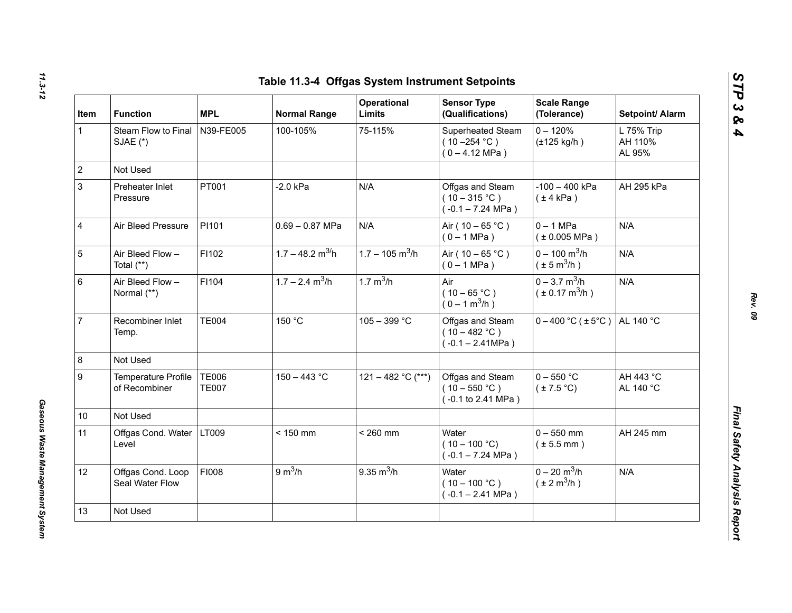| Item         | <b>Function</b>                      | <b>MPL</b>                   | <b>Normal Range</b>            | Operational<br>Limits         | <b>Sensor Type</b><br>(Qualifications)                           | <b>Scale Range</b><br>(Tolerance)                             | Setpoint/ Alarm                 |
|--------------|--------------------------------------|------------------------------|--------------------------------|-------------------------------|------------------------------------------------------------------|---------------------------------------------------------------|---------------------------------|
| $\mathbf{1}$ | Steam Flow to Final<br>SJAE (*)      | N39-FE005                    | 100-105%                       | 75-115%                       | Superheated Steam<br>$(10 - 254 °C)$<br>$(0 - 4.12 \text{ MPa})$ | $0 - 120%$<br>$(\pm 125$ kg/h)                                | L 75% Trip<br>AH 110%<br>AL 95% |
|              | Not Used                             |                              |                                |                               |                                                                  |                                                               |                                 |
|              | Preheater Inlet<br>Pressure          | PT001                        | $-2.0$ kPa                     | N/A                           | Offgas and Steam<br>$(10-315 °C)$<br>$(-0.1 - 7.24 \text{ MPa})$ | $-100 - 400$ kPa<br>$(\pm 4$ kPa)                             | AH 295 kPa                      |
|              | Air Bleed Pressure                   | PI101                        | $0.69 - 0.87$ MPa              | N/A                           | Air ( $10 - 65$ °C)<br>$(0 - 1 MPa)$                             | $0 - 1$ MPa<br>$(*0.005 MPa)$                                 | N/A                             |
|              | Air Bleed Flow -<br>Total $(**)$     | F1102                        | $1.7 - 48.2$ m <sup>3/</sup> h | $1.7 - 105$ m <sup>3</sup> /h | Air ( $10 - 65$ °C)<br>$(0 - 1 MPa)$                             | $0 - 100$ m <sup>3</sup> /h<br>$(\pm 5 \text{ m}^3/\text{h})$ | N/A                             |
|              | Air Bleed Flow -<br>Normal (**)      | F1104                        | $1.7 - 2.4$ m <sup>3</sup> /h  | 1.7 $m^3/h$                   | Air<br>$(10 - 65 °C)$<br>$(0 - 1 m^3/h)$                         | $0 - 3.7$ m <sup>3</sup> /h<br>$(\pm 0.17 \text{ m}^3/h)$     | N/A                             |
|              | Recombiner Inlet<br>Temp.            | <b>TE004</b>                 | 150 °C                         | $105 - 399 °C$                | Offgas and Steam<br>$(10 - 482 °C)$<br>$(-0.1 - 2.41 MPa)$       | $0 - 400$ °C ( $\pm 5$ °C)                                    | AL 140 °C                       |
|              | Not Used                             |                              |                                |                               |                                                                  |                                                               |                                 |
|              | Temperature Profile<br>of Recombiner | <b>TE006</b><br><b>TE007</b> | $150 - 443$ °C                 | 121 - 482 °C (***)            | Offgas and Steam<br>$(10 - 550 °C)$<br>(-0.1 to 2.41 MPa)        | $0 - 550$ °C<br>$(\pm 7.5^{\circ}C)$                          | AH 443 °C<br>AL 140 °C          |
| 10           | Not Used                             |                              |                                |                               |                                                                  |                                                               |                                 |
| 11           | Offgas Cond. Water<br>Level          | LT009                        | $< 150$ mm                     | $< 260$ mm                    | Water<br>$(10 - 100 °C)$<br>$(-0.1 - 7.24 \text{ MPa})$          | $0 - 550$ mm<br>$(\pm 5.5$ mm)                                | AH 245 mm                       |
| 12           | Offgas Cond. Loop<br>Seal Water Flow | FI008                        | 9 m <sup>3</sup> /h            | $9.35 \text{ m}^3/h$          | Water<br>$(10 - 100 °C)$<br>$(-0.1 - 2.41$ MPa)                  | $0 - 20$ m <sup>3</sup> /h<br>$(\pm 2 \text{ m}^3/\text{h})$  | N/A                             |
| 13           | Not Used                             |                              |                                |                               |                                                                  |                                                               |                                 |

*Gaseous Waste Management System* 

Gaseous Waste Management System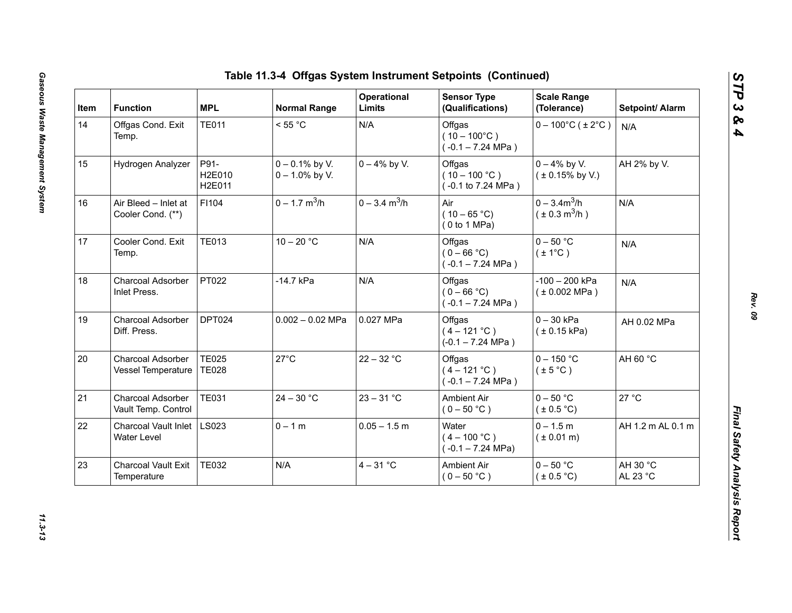| Item | <b>Function</b>                            | <b>MPL</b>                   | <b>Normal Range</b>                    | Operational<br>Limits       | <b>Sensor Type</b><br>(Qualifications)                  | <b>Scale Range</b><br>(Tolerance)           | Setpoint/ Alarm      |
|------|--------------------------------------------|------------------------------|----------------------------------------|-----------------------------|---------------------------------------------------------|---------------------------------------------|----------------------|
| 14   | Offgas Cond. Exit<br>Temp.                 | <b>TE011</b>                 | < 55 °C                                | N/A                         | Offgas<br>$(10 - 100^{\circ}C)$<br>$(-0.1 - 7.24$ MPa)  | $0 - 100^{\circ}$ C (±2°C)                  | N/A                  |
| 15   | Hydrogen Analyzer                          | P91-<br>H2E010<br>H2E011     | $0 - 0.1\%$ by V.<br>$0 - 1.0\%$ by V. | $0 - 4\%$ by V.             | Offgas<br>$(10 - 100 °C)$<br>(-0.1 to 7.24 MPa)         | $0 - 4\%$ by V.<br>$(± 0.15\%$ by V.)       | AH 2% by V.          |
| 16   | Air Bleed - Inlet at<br>Cooler Cond. (**)  | F1104                        | $0 - 1.7$ m <sup>3</sup> /h            | $0 - 3.4$ m <sup>3</sup> /h | Air<br>$(10 - 65 °C)$<br>(0 to 1 MPa)                   | $0 - 3.4m^3/h$<br>$(\pm 0.3 \text{ m}^3/h)$ | N/A                  |
| 17   | Cooler Cond. Exit<br>Temp.                 | <b>TE013</b>                 | $10 - 20 °C$                           | N/A                         | Offgas<br>$(0 - 66 °C)$<br>$(-0.1 - 7.24$ MPa)          | $0 - 50$ °C<br>$(\pm 1^{\circ}C)$           | N/A                  |
| 18   | Charcoal Adsorber<br>Inlet Press.          | PT022                        | -14.7 kPa                              | N/A                         | Offgas<br>$(0 - 66 °C)$<br>$(-0.1 - 7.24 \text{ MPa})$  | $-100 - 200$ kPa<br>(± 0.002 MPa)           | N/A                  |
| 19   | Charcoal Adsorber<br>Diff. Press.          | DPT024                       | $0.002 - 0.02$ MPa                     | 0.027 MPa                   | Offgas<br>$(4 - 121 °C)$<br>$(-0.1 - 7.24 \text{ MPa})$ | $0 - 30$ kPa<br>(± 0.15 kPa)                | AH 0.02 MPa          |
| 20   | Charcoal Adsorber<br>Vessel Temperature    | <b>TE025</b><br><b>TE028</b> | $27^{\circ}$ C                         | $22 - 32 °C$                | Offgas<br>$(4 - 121 °C)$<br>$(-0.1 - 7.24$ MPa)         | $0 - 150$ °C<br>$(\pm 5^{\circ}C)$          | AH 60 °C             |
| 21   | Charcoal Adsorber<br>Vault Temp. Control   | <b>TE031</b>                 | $24 - 30 °C$                           | $23 - 31 °C$                | <b>Ambient Air</b><br>$(0 - 50 °C)$                     | $0 - 50$ °C<br>(± 0.5 °C)                   | 27 °C                |
| 22   | <b>Charcoal Vault Inlet</b><br>Water Level | <b>LS023</b>                 | $0 - 1 m$                              | $0.05 - 1.5$ m              | Water<br>$(4 - 100 °C)$<br>$(-0.1 - 7.24 \text{ MPa})$  | $0 - 1.5 m$<br>$(* 0.01 m)$                 | AH 1.2 m AL 0.1 m    |
| 23   | <b>Charcoal Vault Exit</b><br>Temperature  | <b>TE032</b>                 | N/A                                    | $4 - 31$ °C                 | Ambient Air<br>$(0 - 50 °C)$                            | $0 - 50$ °C<br>$(\pm 0.5^{\circ}C)$         | AH 30 °C<br>AL 23 °C |

*STP 3 & 4*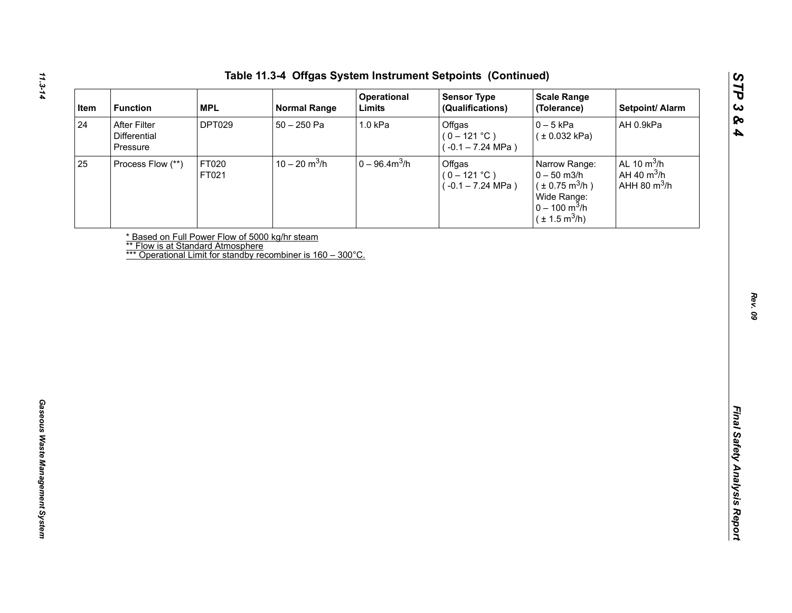| After Filter<br><b>DPT029</b><br>$50 - 250$ Pa<br>1.0 kPa<br>Offgas<br>$0 - 5$ kPa<br>AH 0.9kPa<br>Differential<br>$(0 - 121 °C)$<br>(± 0.032 kPa)<br>$(-0.1 - 7.24 \text{ MPa})$<br>Pressure<br>$10 - 20$ m <sup>3</sup> /h<br>$0 - 96.4 m3/h$<br>AL 10 $m^3/h$<br>FT020<br>Offgas<br>Process Flow (**)<br>Narrow Range:<br>AH 40 $m^3/h$<br>$(0 - 121 °C)$<br>$0 - 50$ m3/h<br>FT021<br>AHH 80 $m^3/h$<br>$(\pm 0.75 \text{ m}^3/h)$<br>$(-0.1 - 7.24 \text{ MPa})$<br>Wide Range:<br>$0 - 100 \text{ m}^3/h$<br>$(\pm 1.5 \text{ m}^3/h)$<br>* Based on Full Power Flow of 5000 kg/hr steam<br><b>** Flow is at Standard Atmosphere</b><br>*** Operational Limit for standby recombiner is 160 - 300°C. |    | <b>MPL</b><br><b>Function</b> | <b>Normal Range</b> | Operational<br>Limits | <b>Sensor Type</b><br>(Qualifications) | <b>Scale Range</b><br>(Tolerance) | Setpoint/ Alarm |
|------------------------------------------------------------------------------------------------------------------------------------------------------------------------------------------------------------------------------------------------------------------------------------------------------------------------------------------------------------------------------------------------------------------------------------------------------------------------------------------------------------------------------------------------------------------------------------------------------------------------------------------------------------------------------------------------------------|----|-------------------------------|---------------------|-----------------------|----------------------------------------|-----------------------------------|-----------------|
|                                                                                                                                                                                                                                                                                                                                                                                                                                                                                                                                                                                                                                                                                                            | 24 |                               |                     |                       |                                        |                                   |                 |
|                                                                                                                                                                                                                                                                                                                                                                                                                                                                                                                                                                                                                                                                                                            | 25 |                               |                     |                       |                                        |                                   |                 |
|                                                                                                                                                                                                                                                                                                                                                                                                                                                                                                                                                                                                                                                                                                            |    |                               |                     |                       |                                        |                                   |                 |
|                                                                                                                                                                                                                                                                                                                                                                                                                                                                                                                                                                                                                                                                                                            |    |                               |                     |                       |                                        |                                   |                 |
|                                                                                                                                                                                                                                                                                                                                                                                                                                                                                                                                                                                                                                                                                                            |    |                               |                     |                       |                                        |                                   |                 |
|                                                                                                                                                                                                                                                                                                                                                                                                                                                                                                                                                                                                                                                                                                            |    |                               |                     |                       |                                        |                                   |                 |
|                                                                                                                                                                                                                                                                                                                                                                                                                                                                                                                                                                                                                                                                                                            |    |                               |                     |                       |                                        |                                   |                 |
|                                                                                                                                                                                                                                                                                                                                                                                                                                                                                                                                                                                                                                                                                                            |    |                               |                     |                       |                                        |                                   |                 |
|                                                                                                                                                                                                                                                                                                                                                                                                                                                                                                                                                                                                                                                                                                            |    |                               |                     |                       |                                        |                                   |                 |
|                                                                                                                                                                                                                                                                                                                                                                                                                                                                                                                                                                                                                                                                                                            |    |                               |                     |                       |                                        |                                   |                 |
|                                                                                                                                                                                                                                                                                                                                                                                                                                                                                                                                                                                                                                                                                                            |    |                               |                     |                       |                                        |                                   |                 |
|                                                                                                                                                                                                                                                                                                                                                                                                                                                                                                                                                                                                                                                                                                            |    |                               |                     |                       |                                        |                                   |                 |
|                                                                                                                                                                                                                                                                                                                                                                                                                                                                                                                                                                                                                                                                                                            |    |                               |                     |                       |                                        |                                   |                 |
|                                                                                                                                                                                                                                                                                                                                                                                                                                                                                                                                                                                                                                                                                                            |    |                               |                     |                       |                                        |                                   |                 |
|                                                                                                                                                                                                                                                                                                                                                                                                                                                                                                                                                                                                                                                                                                            |    |                               |                     |                       |                                        |                                   |                 |
|                                                                                                                                                                                                                                                                                                                                                                                                                                                                                                                                                                                                                                                                                                            |    |                               |                     |                       |                                        |                                   |                 |
|                                                                                                                                                                                                                                                                                                                                                                                                                                                                                                                                                                                                                                                                                                            |    |                               |                     |                       |                                        |                                   |                 |
|                                                                                                                                                                                                                                                                                                                                                                                                                                                                                                                                                                                                                                                                                                            |    |                               |                     |                       |                                        |                                   |                 |
|                                                                                                                                                                                                                                                                                                                                                                                                                                                                                                                                                                                                                                                                                                            |    |                               |                     |                       |                                        |                                   |                 |
|                                                                                                                                                                                                                                                                                                                                                                                                                                                                                                                                                                                                                                                                                                            |    |                               |                     |                       |                                        |                                   |                 |
|                                                                                                                                                                                                                                                                                                                                                                                                                                                                                                                                                                                                                                                                                                            |    |                               |                     |                       |                                        |                                   |                 |
|                                                                                                                                                                                                                                                                                                                                                                                                                                                                                                                                                                                                                                                                                                            |    |                               |                     |                       |                                        |                                   |                 |
|                                                                                                                                                                                                                                                                                                                                                                                                                                                                                                                                                                                                                                                                                                            |    |                               |                     |                       |                                        |                                   |                 |

*STP 3 & 4*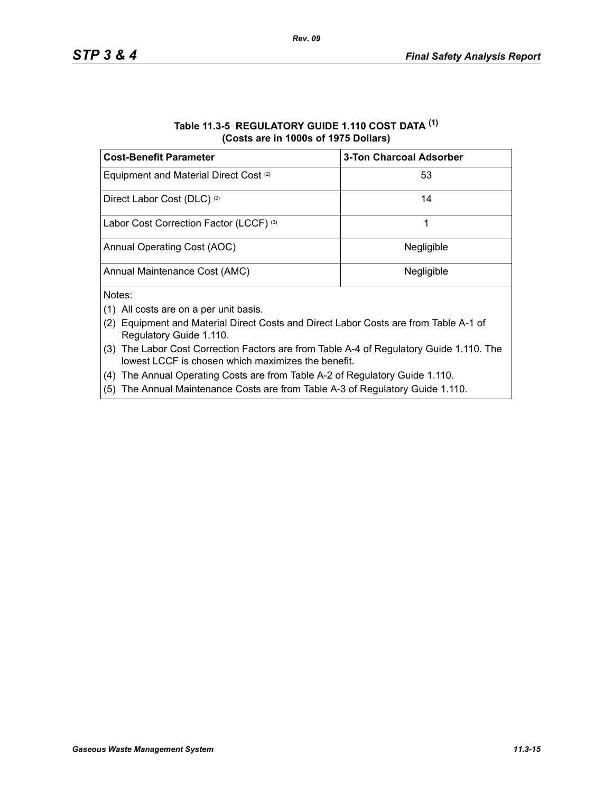| Table 11.3-5 REGULATORY GUIDE 1.110 COST DATA (1) |
|---------------------------------------------------|
| (Costs are in 1000s of 1975 Dollars)              |

*Rev. 09*

| <b>Cost-Benefit Parameter</b>                     | <b>3-Ton Charcoal Adsorber</b> |
|---------------------------------------------------|--------------------------------|
| Equipment and Material Direct Cost <sup>(2)</sup> | 53                             |
| Direct Labor Cost (DLC) <sup>(2)</sup>            | 14                             |
| Labor Cost Correction Factor (LCCF) (3)           |                                |
| Annual Operating Cost (AOC)                       | Negligible                     |
| Annual Maintenance Cost (AMC)                     | Negligible                     |
| Notes:                                            |                                |

- (1) All costs are on a per unit basis.
- (2) Equipment and Material Direct Costs and Direct Labor Costs are from Table A-1 of Regulatory Guide 1.110.
- (3) The Labor Cost Correction Factors are from Table A-4 of Regulatory Guide 1.110. The lowest LCCF is chosen which maximizes the benefit.
- (4) The Annual Operating Costs are from Table A-2 of Regulatory Guide 1.110.
- (5) The Annual Maintenance Costs are from Table A-3 of Regulatory Guide 1.110.